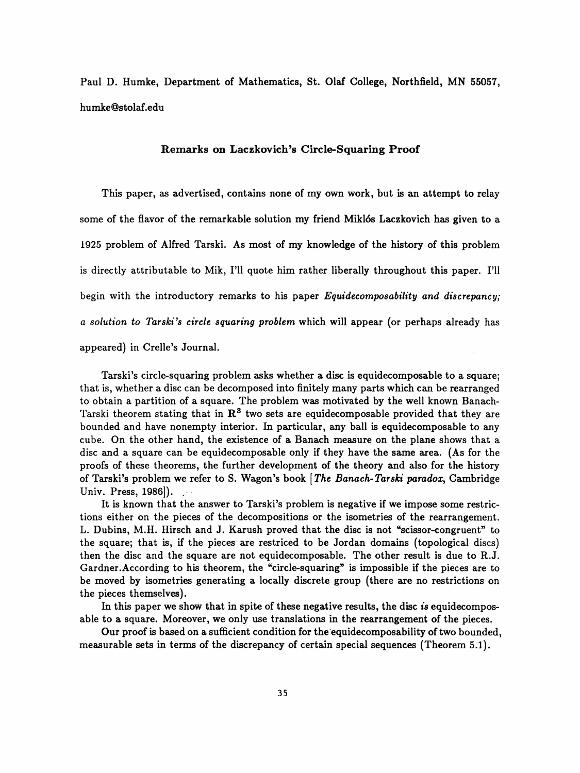Paul D. Humke, Department of Mathematics, St. Olaf College, Northfield, MN 55057, humke@stolaf.edu

## Remarks on Laczkovich's Circle-Squaring Proof

 This paper, as advertised, contains none of my own work, but is an attempt to relay some of the flavor of the remarkable solution my friend Miklós Laczkovich has given to a 1925 problem of Alfred Tarski. As most of my knowledge of the history of this problem is directly attributable to Mik, I'll quote him rather liberally throughout this paper. I'll begin with the introductory remarks to his paper *Equidecomposability and discrepancy*; a solution to Tarski 's circle squaring problem which will appear (or perhaps already has appeared) in Crelle's Journal.

 Tarski's circle-squaring problem asks whether a disc is equidecomposable to a square; that is, whether a disc can be decomposed into finitely many parts which can be rearranged to obtain a partition of a square. The problem was motivated by the well known Banach- Tarski theorem stating that in  $\mathbb{R}^3$  two sets are equidecomposable provided that they are bounded and have nonempty interior. In particular, any ball is equidecomposable to any cube. On the other hand, the existence of a Banach measure on the plane shows that a disc and a square can be equidecomposable only if they have the same area. (As for the proofs of these theorems, the further development of the theory and also for the history of Tarski's problem we refer to S. Wagon's book [The Banach-Tarski paradox, Cambridge Univ. Press, 1986]). .

 It is known that the answer to Tarski's problem is negative if we impose some restric tions either on the pieces of the decompositions or the isometries of the rearrangement. L. Dubins, M.H. Hirsch and J. Karush proved that the disc is not "scissor-congruent" to the square; that is, if the pieces are restriced to be Jordan domains (topological discs) then the disc and the square are not equidecomposable. The other result is due to R.J. Gardner.According to his theorem, the "circle-squaring" is impossible if the pieces are to be moved by isometries generating a locally discrete group (there are no restrictions on the pieces themselves).

In this paper we show that in spite of these negative results, the disc is equidecomposable to a square. Moreover, we only use translations in the rearrangement of the pieces.

 Our proof is based on a sufficient condition for the equidecomposability of two bounded, measurable sets in terms of the discrepancy of certain special sequences (Theorem 5.1).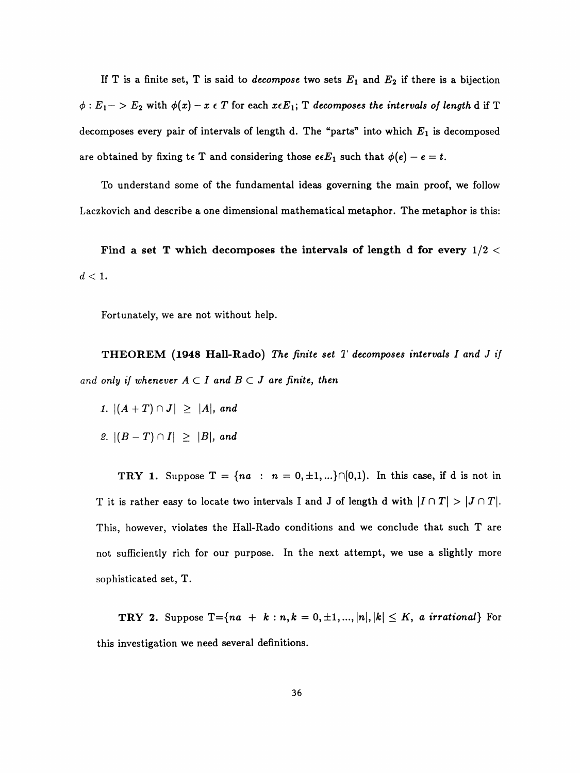If T is a finite set, T is said to *decompose* two sets  $E_1$  and  $E_2$  if there is a bijection  $\phi: E_1 -> E_2$  with  $\phi(x) - x \in T$  for each  $x \in E_1$ ; T decomposes the intervals of length d if T decomposes every pair of intervals of length d. The "parts" into which  $E_1$  is decomposed are obtained by fixing te T and considering those  $e \epsilon E_1$  such that  $\phi(e) - e = t$ .

 To understand some of the fundamental ideas governing the main proof, we follow Laczkovich and describe a one dimensional mathematical metaphor. The metaphor is this:

Find a set T which decomposes the intervals of length d for every  $1/2 <$  $d < 1$ .

Fortunately, we are not without help.

**THEOREM** (1948 Hall-Rado) The finite set  $T$  decomposes intervals I and J if and only if whenever  $A \subset I$  and  $B \subset J$  are finite, then

1.  $|(A + T) \cap J| \geq |A|$ , and

2.  $|(B-T)\cap I| \geq |B|$ , and

**TRY 1.** Suppose  $T = \{na : n = 0, \pm 1, ...\} \cap [0,1)$ . In this case, if d is not in T it is rather easy to locate two intervals I and J of length d with  $|I \cap T| > |J \cap T|$ . This, however, violates the Hall-Rado conditions and we conclude that such T are not sufficiently rich for our purpose. In the next attempt, we use a slightly more sophisticated set, T.

**TRY 2.** Suppose  $T = \{na + k : n, k = 0, \pm 1, ..., |n|, |k| \leq K$ , a irrational} For this investigation we need several definitions.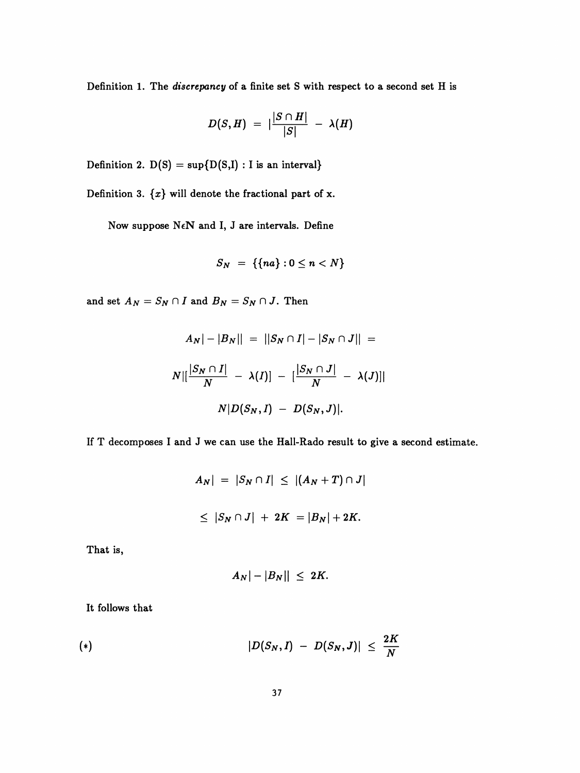Definition 1. The discrepancy of a finite set S with respect to a second set H is

$$
D(S,H) = |\frac{|S \cap H|}{|S|} - \lambda(H)
$$

Definition 2.  $D(S) = \sup\{D(S,I) : I \text{ is an interval}\}\$ 

Definition 3.  $\{x\}$  will denote the fractional part of x.

Now suppose  $N \in \mathbb{N}$  and I, J are intervals. Define

$$
S_N = \{\{na\} : 0 \leq n < N\}
$$

and set  $A_N = S_N \cap I$  and  $B_N = S_N \cap J$ . Then

$$
A_N|-|B_N|| = ||S_N \cap I| - |S_N \cap J|| =
$$
  

$$
N||\frac{|S_N \cap I|}{N} - \lambda(I)| - |\frac{|S_N \cap J|}{N} - \lambda(J)||
$$
  

$$
N|D(S_N, I) - D(S_N, J)|.
$$

If T decomposes I and J we can use the Hall-Rado result to give a second estimate.

$$
A_N| = |S_N \cap I| \le |(A_N + T) \cap J|
$$
  

$$
\le |S_N \cap J| + 2K = |B_N| + 2K.
$$

That is,

$$
|A_N|-|B_N||\leq 2K.
$$

It follows that

(\*) 
$$
|D(S_N, I) - D(S_N, J)| \leq \frac{2K}{N}
$$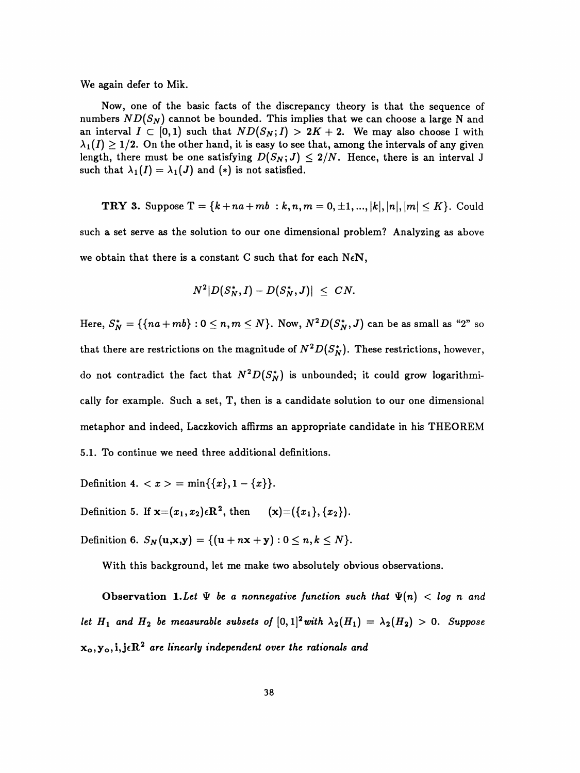We again defer to Mik.

 Now, one of the basic facts of the discrepancy theory is that the sequence of numbers  $ND(S_N)$  cannot be bounded. This implies that we can choose a large N and an interval  $I \subset [0,1)$  such that  $ND(S_N;I) > 2K + 2$ . We may also choose I with  $\lambda_1(I) \geq 1/2$ . On the other hand, it is easy to see that, among the intervals of any given length, there must be one satisfying  $D(S_N; J) \leq 2/N$ . Hence, there is an interval J such that  $\lambda_1(I) = \lambda_1(J)$  and (\*) is not satisfied.

**TRY 3.** Suppose 
$$
T = \{k + na + mb : k, n, m = 0, \pm 1, ..., |k|, |n|, |m| \le K\}
$$
. Could

 such a set serve as the solution to our one dimensional problem? Analyzing as above we obtain that there is a constant C such that for each  $N \in \mathbb{N}$ ,

$$
N^2|D(S_N^*,I)-D(S_N^*,J)|\ \le\ CN.
$$

Here,  $S_N^* = \{\{na + mb\} : 0 \le n, m \le N\}$ . Now,  $N^2D(S_N^*,J)$  can be as small as "2" so that there are restrictions on the magnitude of  $N^2D(S_N^*)$ . These restrictions, however, do not contradict the fact that  $N^2D(S^*_N)$  is unbounded; it could grow logarithmi cally for example. Such a set, T, then is a candidate solution to our one dimensional metaphor and indeed, Laczkovich affirms an appropriate candidate in his THEOREM 5.1. To continue we need three additional definitions.

Definition 4.  $\langle x \rangle = \min\{\{x\}, 1 - \{x\}\}.$ 

Definition 5. If  $\mathbf{x}=(x_1, x_2) \in \mathbb{R}^2$ , then  $(\mathbf{x}) = (\{x_1\}, \{x_2\}).$ 

Definition 6.  $S_N(u, x, y) = \{(u + n x + y) : 0 \le n, k \le N\}.$ 

With this background, let me make two absolutely obvious observations.

Observation 1. Let  $\Psi$  be a nonnegative function such that  $\Psi(n) < log n$  and let  $H_1$  and  $H_2$  be measurable subsets of  $[0,1]^2$  with  $\lambda_2(H_1) = \lambda_2(H_2) > 0$ . Suppose  $x_0, y_0, i, j \in R^2$  are linearly independent over the rationals and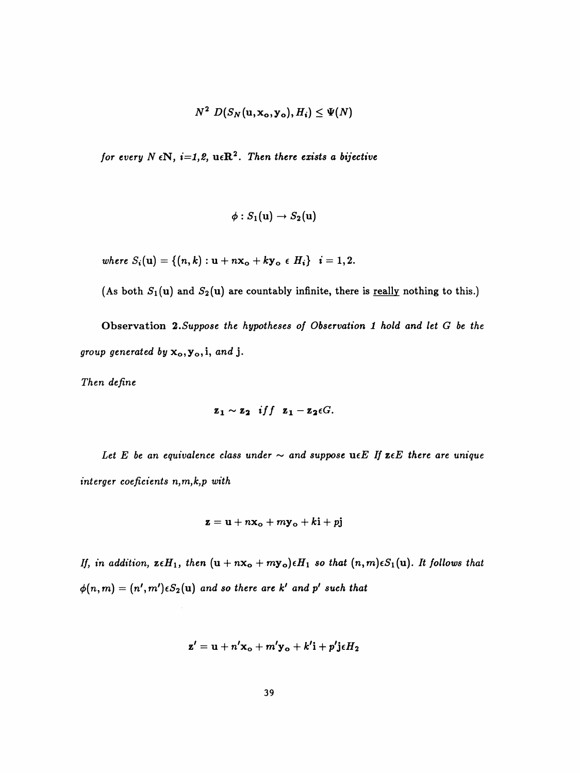$$
N^2 D(S_N(\mathbf{u}, \mathbf{x_o}, \mathbf{y_o}), H_i) \leq \Psi(N)
$$

for every  $N \in \mathbb{N}$ ,  $i=1,2$ ,  $u \in \mathbb{R}^2$ . Then there exists a bijective

$$
\phi:S_1(\mathbf{u})\to S_2(\mathbf{u})
$$

where  $S_i(u) = \{(n, k) : u + nx_o + ky_o \in H_i\}$   $i = 1, 2$ .

(As both  $S_1(u)$  and  $S_2(u)$  are countably infinite, there is <u>really</u> nothing to this.)

Observation 2. Suppose the hypotheses of Observation 1 hold and let G be the group generated by  $x_o, y_o, i,$  and j.

Then define

$$
\mathbf{z_1} \sim \mathbf{z_2} \quad \text{iff} \quad \mathbf{z_1} - \mathbf{z_2} \epsilon G.
$$

Let E be an equivalence class under  $\sim$  and suppose ue E If ze E there are unique interger coeficients n,m,k,p with

$$
\mathbf{z} = \mathbf{u} + n\mathbf{x_o} + m\mathbf{y_o} + k\mathbf{i} + p\mathbf{j}
$$

If, in addition,  $\mathbf{z} \in H_1$ , then  $(\mathbf{u} + n\mathbf{x_o} + m\mathbf{y_o}) \in H_1$  so that  $(n, m) \in S_1(\mathbf{u})$ . It follows that  $\phi(n,m) = (n',m')\epsilon S_2(\mathbf{u})$  and so there are k' and p' such that

$$
\mathbf{z'} = \mathbf{u} + n'\mathbf{x_o} + m'\mathbf{y_o} + k'\mathbf{i} + p'\mathbf{j}\epsilon H_2
$$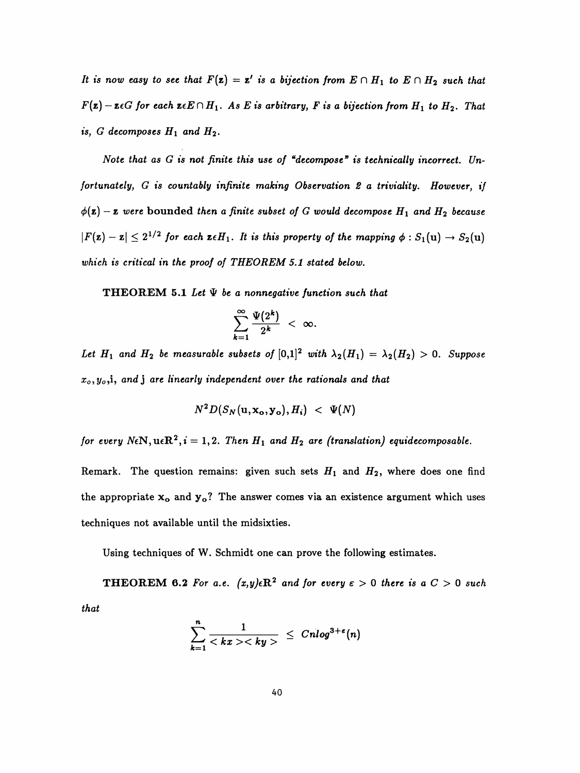It is now easy to see that  $F(z) = z'$  is a bijection from  $E \cap H_1$  to  $E \cap H_2$  such that  $F(z) - z \epsilon G$  for each  $z \epsilon E \cap H_1$ . As E is arbitrary, F is a bijection from  $H_1$  to  $H_2$ . That is, G decomposes  $H_1$  and  $H_2$ .

Note that as  $G$  is not finite this use of "decompose" is technically incorrect. Un fortunately, G is countably infinite making Observation 2 a triviality. However, if  $\phi(\mathbf{z}) - \mathbf{z}$  were bounded then a finite subset of G would decompose  $H_1$  and  $H_2$  because  $|F(z) - z| \leq 2^{1/2}$  for each  $z \in H_1$ . It is this property of the mapping  $\phi : S_1(u) \to S_2(u)$ which is critical in the proof of THEOREM 5.1 stated below.

**THEOREM 5.1** Let  $\Psi$  be a nonnegative function such that

$$
\sum_{k=1}^{\infty}\frac{\Psi(2^k)}{2^k} < \infty.
$$

Let  $H_1$  and  $H_2$  be measurable subsets of  $[0,1]^2$  with  $\lambda_2(H_1) = \lambda_2(H_2) > 0$ . Suppose  $x_0, y_0$ , i, and j are linearly independent over the rationals and that

$$
N^2 D(S_N(\mathbf{u}, \mathbf{x_o}, \mathbf{y_o}), H_i) \ < \ \Psi(N)
$$

for every  $N\epsilon N$ ,  $u\epsilon R^2$ ,  $i = 1,2$ . Then  $H_1$  and  $H_2$  are (translation) equidecomposable.

Remark. The question remains: given such sets  $H_1$  and  $H_2$ , where does one find the appropriate  $x_0$  and  $y_0$ ? The answer comes via an existence argument which uses techniques not available until the midsixties.

Using techniques of W. Schmidt one can prove the following estimates.

**THEOREM 6.2** For a.e.  $(x, y) \in \mathbb{R}^2$  and for every  $\varepsilon > 0$  there is a  $C > 0$  such that

$$
\sum_{k=1}^n \frac{1}{\langle kx \rangle \langle ky \rangle} \leq Cnlog^{3+\epsilon}(n)
$$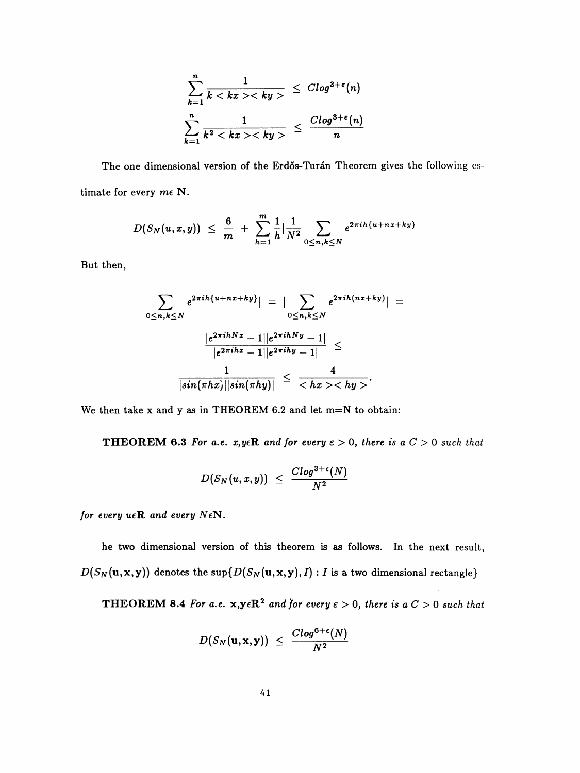$$
\sum_{k=1}^{n} \frac{1}{k \langle kx \rangle \langle ky \rangle} \leq C \log^{3+\epsilon}(n)
$$
  

$$
\sum_{k=1}^{n} \frac{1}{k^2 \langle kx \rangle \langle ky \rangle} \leq \frac{C \log^{3+\epsilon}(n)}{n}
$$

The one dimensional version of the Erdős-Turán Theorem gives the following estimate for every  $m\epsilon$  N.

$$
D(S_N(u,x,y)) \ \leq \ \frac{6}{m} \ + \ \sum_{h=1}^{m} \frac{1}{h} \big| \frac{1}{N^2} \sum_{0 \leq n,k \leq N} e^{2\pi i h \{u + nx + ky\}}
$$

But then,

$$
\sum_{0 \leq n,k \leq N} e^{2\pi i h \{u+nx+ky\}}| = \left| \sum_{0 \leq n,k \leq N} e^{2\pi i h \{nx+ky\}} \right| =
$$

$$
\frac{|e^{2\pi i h N x} - 1||e^{2\pi i h N y} - 1|}{|e^{2\pi i h x} - 1||e^{2\pi i h y} - 1|} \leq
$$

$$
\frac{1}{|sin(\pi h x)||sin(\pi h y)|} \leq \frac{4}{\langle hx \rangle \langle hy \rangle}.
$$

We then take  $x$  and  $y$  as in THEOREM 6.2 and let m=N to obtain:

**THEOREM 6.3** For a.e. x, yeR and for every  $\epsilon > 0$ , there is a  $C > 0$  such that

$$
D(S_N(u,x,y)) \leq \frac{Clog^{3+\epsilon}(N)}{N^2}
$$

for every  $u \in \mathbb{R}$  and every  $N \in \mathbb{N}$ .

he two dimensional version of this theorem is as follows. In the next result,  $D(S_N(\mathbf{u}, \mathbf{x}, \mathbf{y}))$  denotes the sup $\{D(S_N(\mathbf{u}, \mathbf{x}, \mathbf{y}), I) : I$  is a two dimensional rectangle}

**THEOREM 8.4** For a.e.  $x,y \in \mathbb{R}^2$  and for every  $\varepsilon > 0$ , there is a  $C > 0$  such that

$$
D(S_N(\mathbf{u}, \mathbf{x}, \mathbf{y})) \leq \frac{C \log^{6+\epsilon}(N)}{N^2}
$$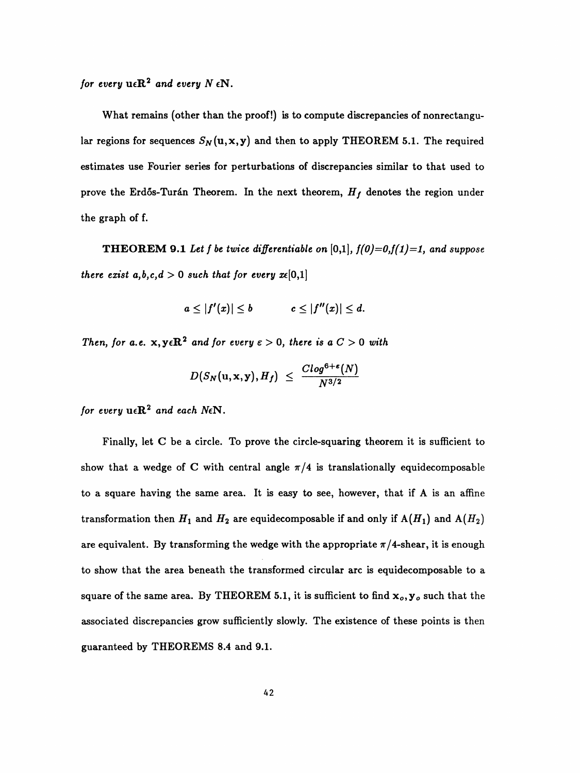for every  $\mathbf{u} \in \mathbb{R}^2$  and every  $N \in \mathbb{N}$ .

 What remains (other than the proof!) is to compute discrepancies of nonrectangu lar regions for sequences  $S_N(u,x,y)$  and then to apply THEOREM 5.1. The required estimates use Fourier series for perturbations of discrepancies similar to that used to prove the Erdős-Turán Theorem. In the next theorem,  $H_f$  denotes the region under the graph of f.

**THEOREM 9.1** Let f be twice differentiable on  $[0,1]$ ,  $f(0)=0, f(1)=1$ , and suppose there exist  $a,b,c,d > 0$  such that for every  $x \in [0,1]$ 

$$
a\leq |f'(x)|\leq b \qquad \qquad c\leq |f''(x)|\leq d.
$$

Then, for a.e.  $x, y \in \mathbb{R}^2$  and for every  $\varepsilon > 0$ , there is a  $C > 0$  with

$$
D(S_N(\mathbf{u}, \mathbf{x}, \mathbf{y}), H_f) \,\, \leq \,\, \frac{C log^{6+\varepsilon}(N)}{N^{3/2}}
$$

for every  $u \in \mathbb{R}^2$  and each NeN.

 Finally, let C be a circle. To prove the circle-squaring theorem it is sufficient to show that a wedge of C with central angle  $\pi/4$  is translationally equidecomposable to a square having the same area. It is easy to see, however, that if A is an affine transformation then  $H_1$  and  $H_2$  are equidecomposable if and only if  $A(H_1)$  and  $A(H_2)$ are equivalent. By transforming the wedge with the appropriate  $\pi/4$ -shear, it is enough to show that the area beneath the transformed circular arc is equidecomposable to a square of the same area. By THEOREM 5.1, it is sufficient to find  ${\bf x}_o, {\bf y}_o$  such that the associated discrepancies grow sufficiently slowly. The existence of these points is then guaranteed by THEOREMS 8.4 and 9.1.